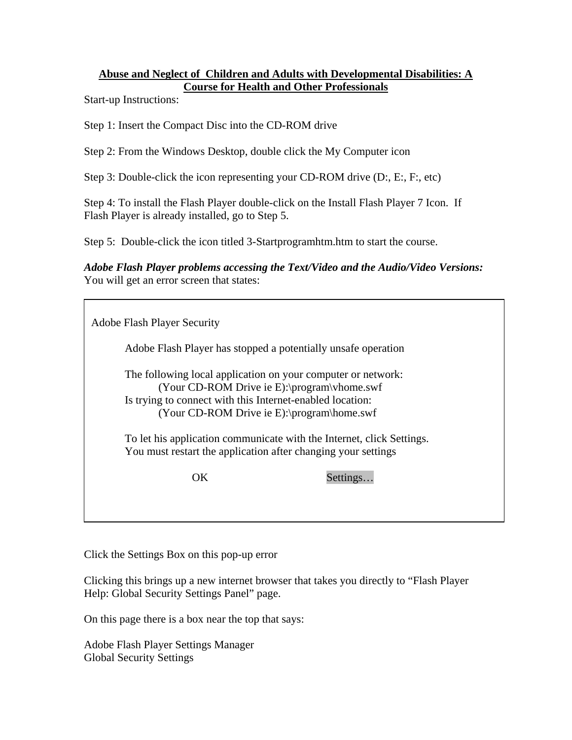## **Abuse and Neglect of Children and Adults with Developmental Disabilities: A Course for Health and Other Professionals**

Start-up Instructions:

Step 1: Insert the Compact Disc into the CD-ROM drive

Step 2: From the Windows Desktop, double click the My Computer icon

Step 3: Double-click the icon representing your CD-ROM drive (D:, E:, F:, etc)

Step 4: To install the Flash Player double-click on the Install Flash Player 7 Icon. If Flash Player is already installed, go to Step 5.

Step 5: Double-click the icon titled 3-Startprogramhtm.htm to start the course.

*Adobe Flash Player problems accessing the Text/Video and the Audio/Video Versions:* You will get an error screen that states:

| <b>Adobe Flash Player Security</b> |                                                                                                                                                                                                                                                                                                 |          |
|------------------------------------|-------------------------------------------------------------------------------------------------------------------------------------------------------------------------------------------------------------------------------------------------------------------------------------------------|----------|
|                                    | Adobe Flash Player has stopped a potentially unsafe operation                                                                                                                                                                                                                                   |          |
|                                    | The following local application on your computer or network:<br>(Your CD-ROM Drive ie E):\program\vhome.swf<br>Is trying to connect with this Internet-enabled location:<br>(Your CD-ROM Drive ie E):\program\home.swf<br>To let his application communicate with the Internet, click Settings. |          |
|                                    | You must restart the application after changing your settings                                                                                                                                                                                                                                   |          |
|                                    | OK.                                                                                                                                                                                                                                                                                             | Settings |
|                                    |                                                                                                                                                                                                                                                                                                 |          |

Click the Settings Box on this pop-up error

Clicking this brings up a new internet browser that takes you directly to "Flash Player Help: Global Security Settings Panel" page.

On this page there is a box near the top that says:

Adobe Flash Player Settings Manager Global Security Settings